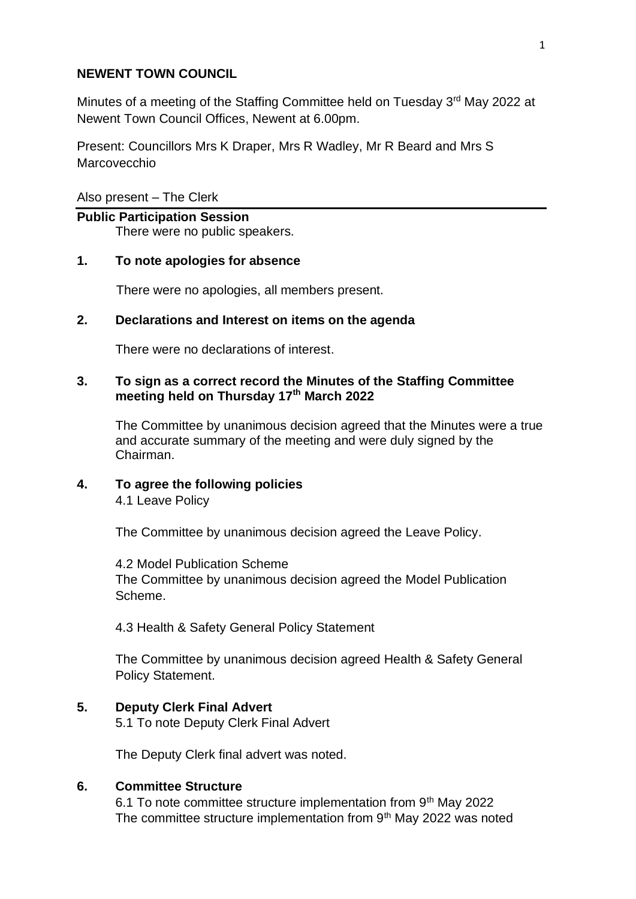## **NEWENT TOWN COUNCIL**

Minutes of a meeting of the Staffing Committee held on Tuesday 3rd May 2022 at Newent Town Council Offices, Newent at 6.00pm.

Present: Councillors Mrs K Draper, Mrs R Wadley, Mr R Beard and Mrs S Marcovecchio

Also present – The Clerk

### **Public Participation Session**

There were no public speakers.

### **1. To note apologies for absence**

There were no apologies, all members present.

### **2. Declarations and Interest on items on the agenda**

There were no declarations of interest.

## **3. To sign as a correct record the Minutes of the Staffing Committee meeting held on Thursday 17th March 2022**

The Committee by unanimous decision agreed that the Minutes were a true and accurate summary of the meeting and were duly signed by the Chairman.

# **4. To agree the following policies**

4.1 Leave Policy

The Committee by unanimous decision agreed the Leave Policy.

4.2 Model Publication Scheme The Committee by unanimous decision agreed the Model Publication Scheme.

4.3 Health & Safety General Policy Statement

The Committee by unanimous decision agreed Health & Safety General Policy Statement.

# **5. Deputy Clerk Final Advert**

5.1 To note Deputy Clerk Final Advert

The Deputy Clerk final advert was noted.

### **6. Committee Structure**

6.1 To note committee structure implementation from 9<sup>th</sup> May 2022 The committee structure implementation from 9<sup>th</sup> May 2022 was noted